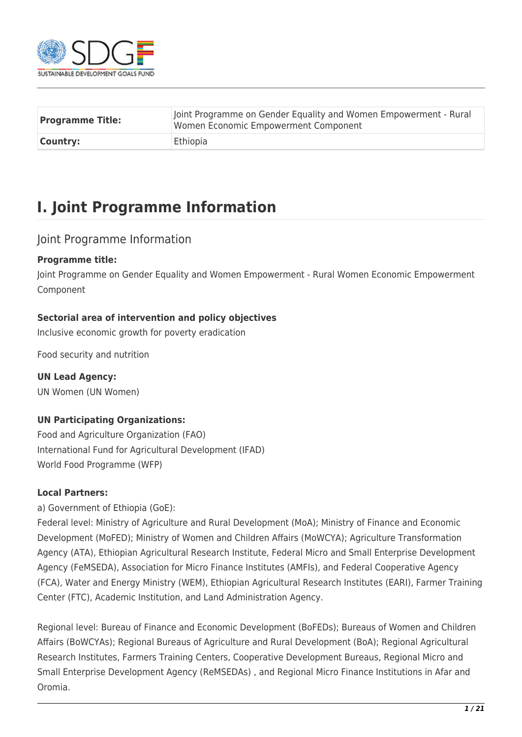

| <b>Programme Title:</b> | Joint Programme on Gender Equality and Women Empowerment - Rural<br>Women Economic Empowerment Component |
|-------------------------|----------------------------------------------------------------------------------------------------------|
| <b>Country:</b>         | Ethiopia                                                                                                 |

# **I. Joint Programme Information**

### Joint Programme Information

#### **Programme title:**

Joint Programme on Gender Equality and Women Empowerment - Rural Women Economic Empowerment Component

#### **Sectorial area of intervention and policy objectives**

Inclusive economic growth for poverty eradication

Food security and nutrition

**UN Lead Agency:**  UN Women (UN Women)

#### **UN Participating Organizations:**

Food and Agriculture Organization (FAO) International Fund for Agricultural Development (IFAD) World Food Programme (WFP)

#### **Local Partners:**

a) Government of Ethiopia (GoE):

Federal level: Ministry of Agriculture and Rural Development (MoA); Ministry of Finance and Economic Development (MoFED); Ministry of Women and Children Affairs (MoWCYA); Agriculture Transformation Agency (ATA), Ethiopian Agricultural Research Institute, Federal Micro and Small Enterprise Development Agency (FeMSEDA), Association for Micro Finance Institutes (AMFIs), and Federal Cooperative Agency (FCA), Water and Energy Ministry (WEM), Ethiopian Agricultural Research Institutes (EARI), Farmer Training Center (FTC), Academic Institution, and Land Administration Agency.

Regional level: Bureau of Finance and Economic Development (BoFEDs); Bureaus of Women and Children Affairs (BoWCYAs); Regional Bureaus of Agriculture and Rural Development (BoA); Regional Agricultural Research Institutes, Farmers Training Centers, Cooperative Development Bureaus, Regional Micro and Small Enterprise Development Agency (ReMSEDAs) , and Regional Micro Finance Institutions in Afar and Oromia.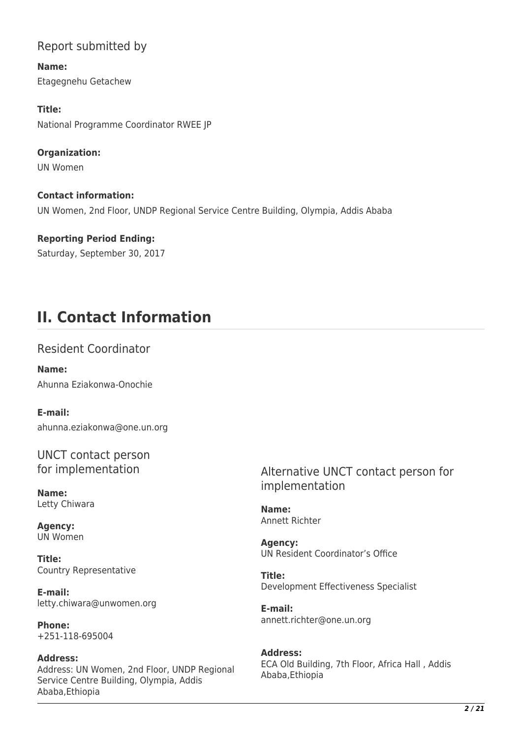## Report submitted by

**Name:**  Etagegnehu Getachew

**Title:**  National Programme Coordinator RWEE JP

**Organization:**  UN Women

**Contact information:**  UN Women, 2nd Floor, UNDP Regional Service Centre Building, Olympia, Addis Ababa

**Reporting Period Ending:**  Saturday, September 30, 2017

# **II. Contact Information**

Resident Coordinator

**Name:**  Ahunna Eziakonwa-Onochie

**E-mail:**  ahunna.eziakonwa@one.un.org

UNCT contact person for implementation

**Name:**  Letty Chiwara

**Agency:**  UN Women

**Title:**  Country Representative

**E-mail:**  letty.chiwara@unwomen.org

**Phone:**  +251-118-695004

**Address:**  Address: UN Women, 2nd Floor, UNDP Regional Service Centre Building, Olympia, Addis Ababa,Ethiopia

Alternative UNCT contact person for implementation

**Name:**  Annett Richter

**Agency:**  UN Resident Coordinator's Office

**Title:**  Development Effectiveness Specialist

**E-mail:**  annett.richter@one.un.org

**Address:**  ECA Old Building, 7th Floor, Africa Hall , Addis Ababa,Ethiopia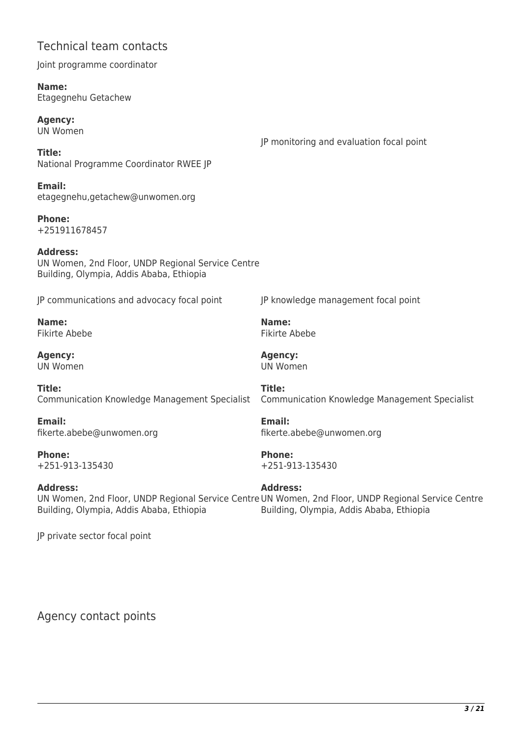### Technical team contacts

Joint programme coordinator

**Name:**  Etagegnehu Getachew

**Agency:**  UN Women

JP monitoring and evaluation focal point

JP knowledge management focal point

**Title:**  National Programme Coordinator RWEE JP

**Email:**  etagegnehu,getachew@unwomen.org

**Phone:**  +251911678457

**Address:**  UN Women, 2nd Floor, UNDP Regional Service Centre Building, Olympia, Addis Ababa, Ethiopia

JP communications and advocacy focal point

**Name:**  Fikirte Abebe

**Agency:**  UN Women

**Title:**  Communication Knowledge Management Specialist

**Email:**  fikerte.abebe@unwomen.org

**Phone:**  +251-913-135430

**Address:** 

**Title:**  Communication Knowledge Management Specialist

**Email:**  fikerte.abebe@unwomen.org

**Phone:**  +251-913-135430

**Name:**  Fikirte Abebe

**Agency:**  UN Women

UN Women, 2nd Floor, UNDP Regional Service Centre UN Women, 2nd Floor, UNDP Regional Service Centre Building, Olympia, Addis Ababa, Ethiopia **Address:**  Building, Olympia, Addis Ababa, Ethiopia

JP private sector focal point

Agency contact points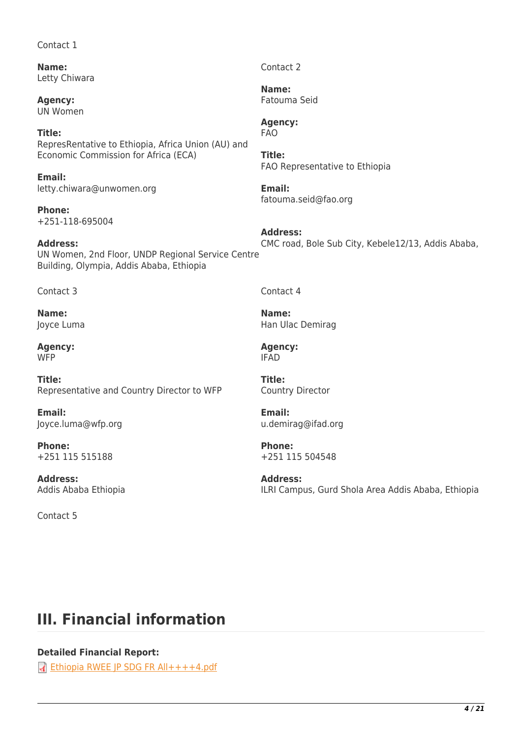#### Contact 1

**Name:**  Letty Chiwara

**Agency:**  UN Women

**Title:**  RepresRentative to Ethiopia, Africa Union (AU) and Economic Commission for Africa (ECA)

**Email:**  letty.chiwara@unwomen.org

**Phone:**  +251-118-695004

**Address:**  UN Women, 2nd Floor, UNDP Regional Service Centre Building, Olympia, Addis Ababa, Ethiopia CMC road, Bole Sub City, Kebele12/13, Addis Ababa,

Contact 3

**Name:**  Joyce Luma

**Agency: WFP** 

**Title:**  Representative and Country Director to WFP

**Email:**  Joyce.luma@wfp.org

**Phone:**  +251 115 515188

**Address:**  Addis Ababa Ethiopia

Contact 5

Contact 4

**Address:** 

Contact 2

**Name:**  Fatouma Seid

**Agency:**  FAO

FAO Representative to Ethiopia

fatouma.seid@fao.org

**Title:** 

**Email:** 

**Name:**  Han Ulac Demirag

**Agency:**  IFAD

**Title:**  Country Director

**Email:**  u.demirag@ifad.org

**Phone:**  +251 115 504548

**Address:**  ILRI Campus, Gurd Shola Area Addis Ababa, Ethiopia

# **III. Financial information**

**Detailed Financial Report:** 

**[Ethiopia RWEE JP SDG FR All++++4.pdf](http://proposals.sdgfund.org/system/files/report-attachments/Ethiopia%20RWEE%20JP%20SDG%20FR%20All%2B%2B%2B%2B4.pdf)**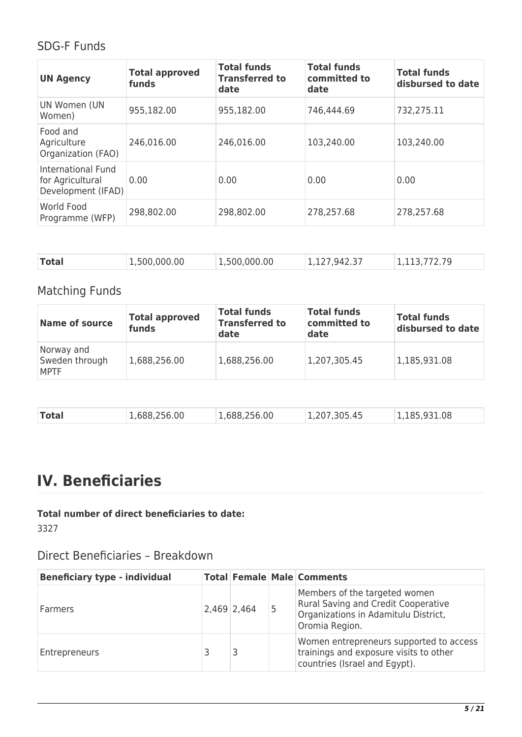## SDG-F Funds

| <b>UN Agency</b>                                             | <b>Total approved</b><br>funds | <b>Total funds</b><br><b>Transferred to</b><br>date | <b>Total funds</b><br>committed to<br>date | <b>Total funds</b><br>disbursed to date |
|--------------------------------------------------------------|--------------------------------|-----------------------------------------------------|--------------------------------------------|-----------------------------------------|
| UN Women (UN<br>Women)                                       | 955,182.00                     | 955,182.00                                          | 746,444.69                                 | 732,275.11                              |
| Food and<br>Agriculture<br>Organization (FAO)                | 246,016.00                     | 246,016.00                                          | 103,240.00                                 | 103,240.00                              |
| International Fund<br>for Agricultural<br>Development (IFAD) | 0.00                           | 0.00                                                | 0.00                                       | 0.00                                    |
| World Food<br>Programme (WFP)                                | 298,802.00                     | 298,802.00                                          | 278,257.68                                 | 278,257.68                              |

| <b>Total</b><br>1,500,000.00<br>1,113,772.79<br>1,500,000.00<br>1,127,942.37 |  |
|------------------------------------------------------------------------------|--|
|------------------------------------------------------------------------------|--|

# Matching Funds

| <b>Name of source</b>                       | <b>Total approved</b><br>funds | <b>Total funds</b><br><b>Transferred to</b><br>date | <b>Total funds</b><br>committed to<br>date | <b>Total funds</b><br>disbursed to date |
|---------------------------------------------|--------------------------------|-----------------------------------------------------|--------------------------------------------|-----------------------------------------|
| Norway and<br>Sweden through<br><b>MPTF</b> | 1,688,256.00                   | 1,688,256.00                                        | 1,207,305.45                               | 1,185,931.08                            |

| Total | 1,688,256.00 | 1,688,256.00 | 1,207,305.45 | 1,185,931.08 |
|-------|--------------|--------------|--------------|--------------|
|       |              |              |              |              |

# **IV. Beneficiaries**

**Total number of direct beneficiaries to date:**  3327

Direct Beneficiaries – Breakdown

| <b>Beneficiary type - individual</b> |               | <b>Total Female Male Comments</b>                                                                                              |
|--------------------------------------|---------------|--------------------------------------------------------------------------------------------------------------------------------|
| Farmers                              | $2,469$ 2,464 | Members of the targeted women<br>Rural Saving and Credit Cooperative<br>Organizations in Adamitulu District,<br>Oromia Region. |
| Entrepreneurs                        |               | Women entrepreneurs supported to access<br>trainings and exposure visits to other<br>countries (Israel and Egypt).             |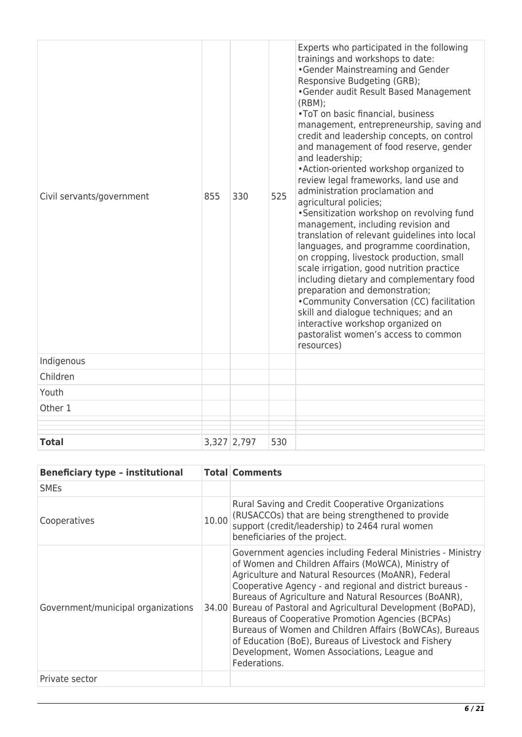| Civil servants/government | 855 | 330           | 525 | Experts who participated in the following<br>trainings and workshops to date:<br>•Gender Mainstreaming and Gender<br>Responsive Budgeting (GRB);<br>•Gender audit Result Based Management<br>(RBM);<br>•ToT on basic financial, business<br>management, entrepreneurship, saving and<br>credit and leadership concepts, on control<br>and management of food reserve, gender<br>and leadership;<br>• Action-oriented workshop organized to<br>review legal frameworks, land use and<br>administration proclamation and<br>agricultural policies;<br>•Sensitization workshop on revolving fund<br>management, including revision and<br>translation of relevant guidelines into local<br>languages, and programme coordination,<br>on cropping, livestock production, small<br>scale irrigation, good nutrition practice<br>including dietary and complementary food<br>preparation and demonstration;<br>•Community Conversation (CC) facilitation<br>skill and dialogue techniques; and an<br>interactive workshop organized on<br>pastoralist women's access to common<br>resources) |
|---------------------------|-----|---------------|-----|----------------------------------------------------------------------------------------------------------------------------------------------------------------------------------------------------------------------------------------------------------------------------------------------------------------------------------------------------------------------------------------------------------------------------------------------------------------------------------------------------------------------------------------------------------------------------------------------------------------------------------------------------------------------------------------------------------------------------------------------------------------------------------------------------------------------------------------------------------------------------------------------------------------------------------------------------------------------------------------------------------------------------------------------------------------------------------------|
| Indigenous                |     |               |     |                                                                                                                                                                                                                                                                                                                                                                                                                                                                                                                                                                                                                                                                                                                                                                                                                                                                                                                                                                                                                                                                                        |
| Children                  |     |               |     |                                                                                                                                                                                                                                                                                                                                                                                                                                                                                                                                                                                                                                                                                                                                                                                                                                                                                                                                                                                                                                                                                        |
| Youth                     |     |               |     |                                                                                                                                                                                                                                                                                                                                                                                                                                                                                                                                                                                                                                                                                                                                                                                                                                                                                                                                                                                                                                                                                        |
| Other 1                   |     |               |     |                                                                                                                                                                                                                                                                                                                                                                                                                                                                                                                                                                                                                                                                                                                                                                                                                                                                                                                                                                                                                                                                                        |
| <b>Total</b>              |     | $3,327$ 2,797 | 530 |                                                                                                                                                                                                                                                                                                                                                                                                                                                                                                                                                                                                                                                                                                                                                                                                                                                                                                                                                                                                                                                                                        |

| <b>Beneficiary type - institutional</b> |       | <b>Total Comments</b>                                                                                                                                                                                                                                                                                                                                                                                                                                                                                                                                                                           |
|-----------------------------------------|-------|-------------------------------------------------------------------------------------------------------------------------------------------------------------------------------------------------------------------------------------------------------------------------------------------------------------------------------------------------------------------------------------------------------------------------------------------------------------------------------------------------------------------------------------------------------------------------------------------------|
| <b>SME<sub>S</sub></b>                  |       |                                                                                                                                                                                                                                                                                                                                                                                                                                                                                                                                                                                                 |
| Cooperatives                            | 10.00 | Rural Saving and Credit Cooperative Organizations<br>(RUSACCOs) that are being strengthened to provide<br>support (credit/leadership) to 2464 rural women<br>beneficiaries of the project.                                                                                                                                                                                                                                                                                                                                                                                                      |
| Government/municipal organizations      | 34.00 | Government agencies including Federal Ministries - Ministry<br>of Women and Children Affairs (MoWCA), Ministry of<br>Agriculture and Natural Resources (MoANR), Federal<br>Cooperative Agency - and regional and district bureaus -<br>Bureaus of Agriculture and Natural Resources (BoANR),<br>Bureau of Pastoral and Agricultural Development (BoPAD),<br>Bureaus of Cooperative Promotion Agencies (BCPAs)<br>Bureaus of Women and Children Affairs (BoWCAs), Bureaus<br>of Education (BoE), Bureaus of Livestock and Fishery<br>Development, Women Associations, League and<br>Federations. |
| Private sector                          |       |                                                                                                                                                                                                                                                                                                                                                                                                                                                                                                                                                                                                 |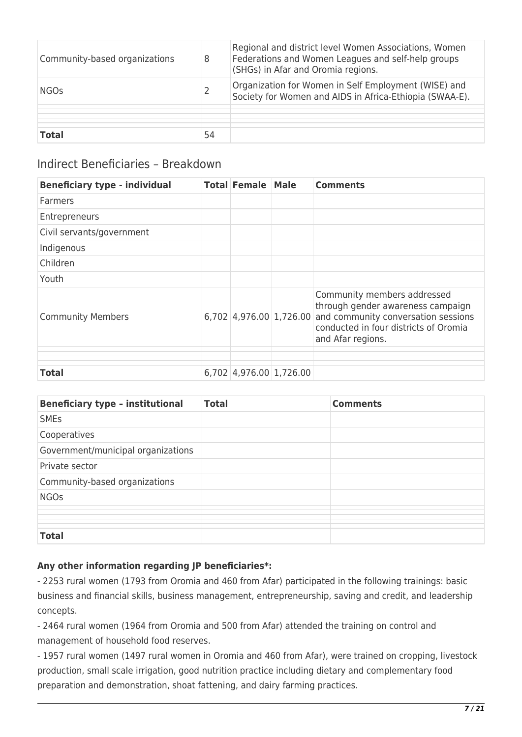| Community-based organizations | 8  | Regional and district level Women Associations, Women<br>Federations and Women Leagues and self-help groups<br>(SHGs) in Afar and Oromia regions. |
|-------------------------------|----|---------------------------------------------------------------------------------------------------------------------------------------------------|
| <b>NGOs</b>                   |    | Organization for Women in Self Employment (WISE) and<br>Society for Women and AIDS in Africa-Ethiopia (SWAA-E).                                   |
|                               |    |                                                                                                                                                   |
| <b>Total</b>                  | 54 |                                                                                                                                                   |

### Indirect Beneficiaries – Breakdown

| <b>Beneficiary type - individual</b> | <b>Total Female</b>     | <b>Male</b> | <b>Comments</b>                                                                                                                                                                                 |
|--------------------------------------|-------------------------|-------------|-------------------------------------------------------------------------------------------------------------------------------------------------------------------------------------------------|
| <b>Farmers</b>                       |                         |             |                                                                                                                                                                                                 |
| Entrepreneurs                        |                         |             |                                                                                                                                                                                                 |
| Civil servants/government            |                         |             |                                                                                                                                                                                                 |
| Indigenous                           |                         |             |                                                                                                                                                                                                 |
| Children                             |                         |             |                                                                                                                                                                                                 |
| Youth                                |                         |             |                                                                                                                                                                                                 |
| <b>Community Members</b>             |                         |             | Community members addressed<br>through gender awareness campaign<br>$6,702$ 4,976.00 1,726.00 and community conversation sessions<br>conducted in four districts of Oromia<br>and Afar regions. |
|                                      |                         |             |                                                                                                                                                                                                 |
| Total                                | 6,702 4,976.00 1,726.00 |             |                                                                                                                                                                                                 |

| <b>Beneficiary type - institutional</b> | <b>Total</b> | <b>Comments</b> |
|-----------------------------------------|--------------|-----------------|
| <b>SMEs</b>                             |              |                 |
| Cooperatives                            |              |                 |
| Government/municipal organizations      |              |                 |
| Private sector                          |              |                 |
| Community-based organizations           |              |                 |
| <b>NGOs</b>                             |              |                 |
|                                         |              |                 |
|                                         |              |                 |
| <b>Total</b>                            |              |                 |

#### **Any other information regarding JP beneficiaries\*:**

- 2253 rural women (1793 from Oromia and 460 from Afar) participated in the following trainings: basic business and financial skills, business management, entrepreneurship, saving and credit, and leadership concepts.

- 2464 rural women (1964 from Oromia and 500 from Afar) attended the training on control and management of household food reserves.

- 1957 rural women (1497 rural women in Oromia and 460 from Afar), were trained on cropping, livestock production, small scale irrigation, good nutrition practice including dietary and complementary food preparation and demonstration, shoat fattening, and dairy farming practices.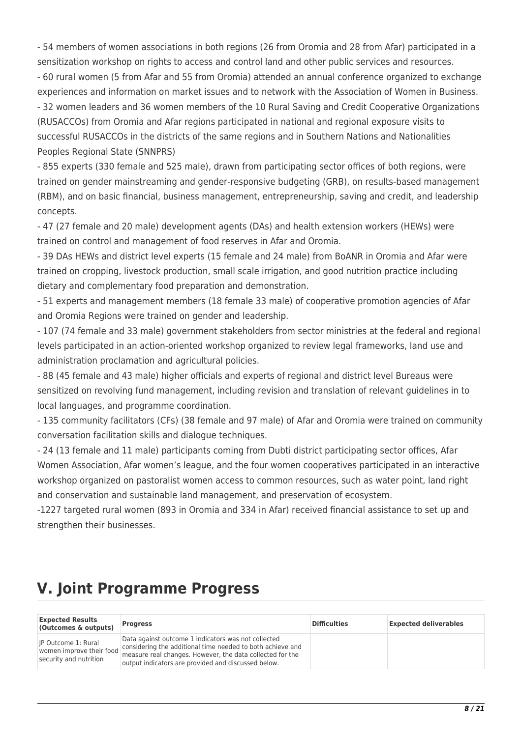- 54 members of women associations in both regions (26 from Oromia and 28 from Afar) participated in a sensitization workshop on rights to access and control land and other public services and resources. - 60 rural women (5 from Afar and 55 from Oromia) attended an annual conference organized to exchange experiences and information on market issues and to network with the Association of Women in Business. - 32 women leaders and 36 women members of the 10 Rural Saving and Credit Cooperative Organizations (RUSACCOs) from Oromia and Afar regions participated in national and regional exposure visits to successful RUSACCOs in the districts of the same regions and in Southern Nations and Nationalities Peoples Regional State (SNNPRS)

- 855 experts (330 female and 525 male), drawn from participating sector offices of both regions, were trained on gender mainstreaming and gender-responsive budgeting (GRB), on results-based management (RBM), and on basic financial, business management, entrepreneurship, saving and credit, and leadership concepts.

- 47 (27 female and 20 male) development agents (DAs) and health extension workers (HEWs) were trained on control and management of food reserves in Afar and Oromia.

- 39 DAs HEWs and district level experts (15 female and 24 male) from BoANR in Oromia and Afar were trained on cropping, livestock production, small scale irrigation, and good nutrition practice including dietary and complementary food preparation and demonstration.

- 51 experts and management members (18 female 33 male) of cooperative promotion agencies of Afar and Oromia Regions were trained on gender and leadership.

- 107 (74 female and 33 male) government stakeholders from sector ministries at the federal and regional levels participated in an action-oriented workshop organized to review legal frameworks, land use and administration proclamation and agricultural policies.

- 88 (45 female and 43 male) higher officials and experts of regional and district level Bureaus were sensitized on revolving fund management, including revision and translation of relevant guidelines in to local languages, and programme coordination.

- 135 community facilitators (CFs) (38 female and 97 male) of Afar and Oromia were trained on community conversation facilitation skills and dialogue techniques.

- 24 (13 female and 11 male) participants coming from Dubti district participating sector offices, Afar Women Association, Afar women's league, and the four women cooperatives participated in an interactive workshop organized on pastoralist women access to common resources, such as water point, land right and conservation and sustainable land management, and preservation of ecosystem.

-1227 targeted rural women (893 in Oromia and 334 in Afar) received financial assistance to set up and strengthen their businesses.

# **V. Joint Programme Progress**

| <b>Expected Results</b><br>(Outcomes & outputs)                                  | <b>Progress</b>                                                                                                                                                                                                                       | <b>Difficulties</b> | <b>Expected deliverables</b> |
|----------------------------------------------------------------------------------|---------------------------------------------------------------------------------------------------------------------------------------------------------------------------------------------------------------------------------------|---------------------|------------------------------|
| <b>IP Outcome 1: Rural</b><br>women improve their food<br>security and nutrition | Data against outcome 1 indicators was not collected<br>considering the additional time needed to both achieve and<br>measure real changes. However, the data collected for the<br>output indicators are provided and discussed below. |                     |                              |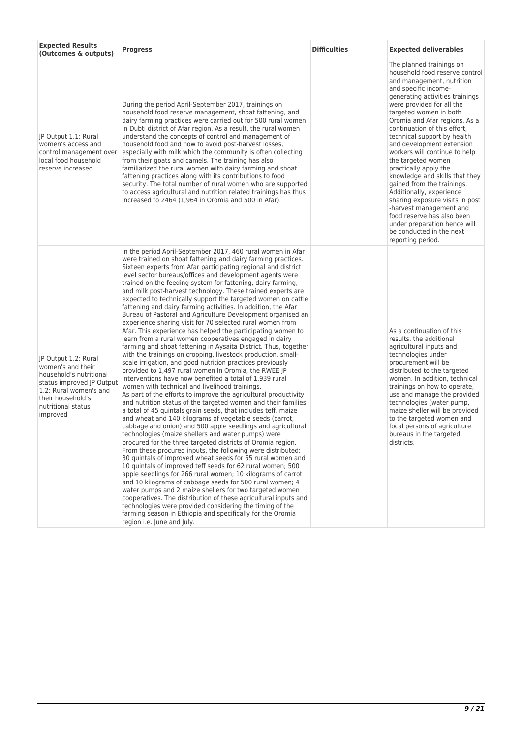| <b>Expected Results</b><br>(Outcomes & outputs)                                                                                                                                    | <b>Progress</b>                                                                                                                                                                                                                                                                                                                                                                                                                                                                                                                                                                                                                                                                                                                                                                                                                                                                                                                                                                                                                                                                                                                                                                                                                                                                                                                                                                                                                                                                                                                                                                                                                                                                                                                                                                                                                                                                                                                                                                                                                                                                                                                                                                                                    | <b>Difficulties</b> | <b>Expected deliverables</b>                                                                                                                                                                                                                                                                                                                                                                                                                                                                                                                                                                                                                                                                    |
|------------------------------------------------------------------------------------------------------------------------------------------------------------------------------------|--------------------------------------------------------------------------------------------------------------------------------------------------------------------------------------------------------------------------------------------------------------------------------------------------------------------------------------------------------------------------------------------------------------------------------------------------------------------------------------------------------------------------------------------------------------------------------------------------------------------------------------------------------------------------------------------------------------------------------------------------------------------------------------------------------------------------------------------------------------------------------------------------------------------------------------------------------------------------------------------------------------------------------------------------------------------------------------------------------------------------------------------------------------------------------------------------------------------------------------------------------------------------------------------------------------------------------------------------------------------------------------------------------------------------------------------------------------------------------------------------------------------------------------------------------------------------------------------------------------------------------------------------------------------------------------------------------------------------------------------------------------------------------------------------------------------------------------------------------------------------------------------------------------------------------------------------------------------------------------------------------------------------------------------------------------------------------------------------------------------------------------------------------------------------------------------------------------------|---------------------|-------------------------------------------------------------------------------------------------------------------------------------------------------------------------------------------------------------------------------------------------------------------------------------------------------------------------------------------------------------------------------------------------------------------------------------------------------------------------------------------------------------------------------------------------------------------------------------------------------------------------------------------------------------------------------------------------|
| JP Output 1.1: Rural<br>women's access and<br>control management over<br>local food household<br>reserve increased                                                                 | During the period April-September 2017, trainings on<br>household food reserve management, shoat fattening, and<br>dairy farming practices were carried out for 500 rural women<br>in Dubti district of Afar region. As a result, the rural women<br>understand the concepts of control and management of<br>household food and how to avoid post-harvest losses,<br>especially with milk which the community is often collecting<br>from their goats and camels. The training has also<br>familiarized the rural women with dairy farming and shoat<br>fattening practices along with its contributions to food<br>security. The total number of rural women who are supported<br>to access agricultural and nutrition related trainings has thus<br>increased to 2464 (1,964 in Oromia and 500 in Afar).                                                                                                                                                                                                                                                                                                                                                                                                                                                                                                                                                                                                                                                                                                                                                                                                                                                                                                                                                                                                                                                                                                                                                                                                                                                                                                                                                                                                         |                     | The planned trainings on<br>household food reserve control<br>and management, nutrition<br>and specific income-<br>generating activities trainings<br>were provided for all the<br>targeted women in both<br>Oromia and Afar regions. As a<br>continuation of this effort,<br>technical support by health<br>and development extension<br>workers will continue to help<br>the targeted women<br>practically apply the<br>knowledge and skills that they<br>gained from the trainings.<br>Additionally, experience<br>sharing exposure visits in post<br>-harvest management and<br>food reserve has also been<br>under preparation hence will<br>be conducted in the next<br>reporting period. |
| JP Output 1.2: Rural<br>women's and their<br>household's nutritional<br>status improved JP Output<br>1.2: Rural women's and<br>their household's<br>nutritional status<br>improved | In the period April-September 2017, 460 rural women in Afar<br>were trained on shoat fattening and dairy farming practices.<br>Sixteen experts from Afar participating regional and district<br>level sector bureaus/offices and development agents were<br>trained on the feeding system for fattening, dairy farming,<br>and milk post-harvest technology. These trained experts are<br>expected to technically support the targeted women on cattle<br>fattening and dairy farming activities. In addition, the Afar<br>Bureau of Pastoral and Agriculture Development organised an<br>experience sharing visit for 70 selected rural women from<br>Afar. This experience has helped the participating women to<br>learn from a rural women cooperatives engaged in dairy<br>farming and shoat fattening in Aysaita District. Thus, together<br>with the trainings on cropping, livestock production, small-<br>scale irrigation, and good nutrition practices previously<br>provided to 1,497 rural women in Oromia, the RWEE JP<br>interventions have now benefited a total of 1,939 rural<br>women with technical and livelihood trainings.<br>As part of the efforts to improve the agricultural productivity<br>and nutrition status of the targeted women and their families,<br>a total of 45 quintals grain seeds, that includes teff, maize<br>and wheat and 140 kilograms of vegetable seeds (carrot,<br>cabbage and onion) and 500 apple seedlings and agricultural<br>technologies (maize shellers and water pumps) were<br>procured for the three targeted districts of Oromia region.<br>From these procured inputs, the following were distributed:<br>30 quintals of improved wheat seeds for 55 rural women and<br>10 quintals of improved teff seeds for 62 rural women; 500<br>apple seedlings for 266 rural women; 10 kilograms of carrot<br>and 10 kilograms of cabbage seeds for 500 rural women; 4<br>water pumps and 2 maize shellers for two targeted women<br>cooperatives. The distribution of these agricultural inputs and<br>technologies were provided considering the timing of the<br>farming season in Ethiopia and specifically for the Oromia<br>region i.e. June and July. |                     | As a continuation of this<br>results, the additional<br>agricultural inputs and<br>technologies under<br>procurement will be<br>distributed to the targeted<br>women. In addition, technical<br>trainings on how to operate,<br>use and manage the provided<br>technologies (water pump,<br>maize sheller will be provided<br>to the targeted women and<br>focal persons of agriculture<br>bureaus in the targeted<br>districts.                                                                                                                                                                                                                                                                |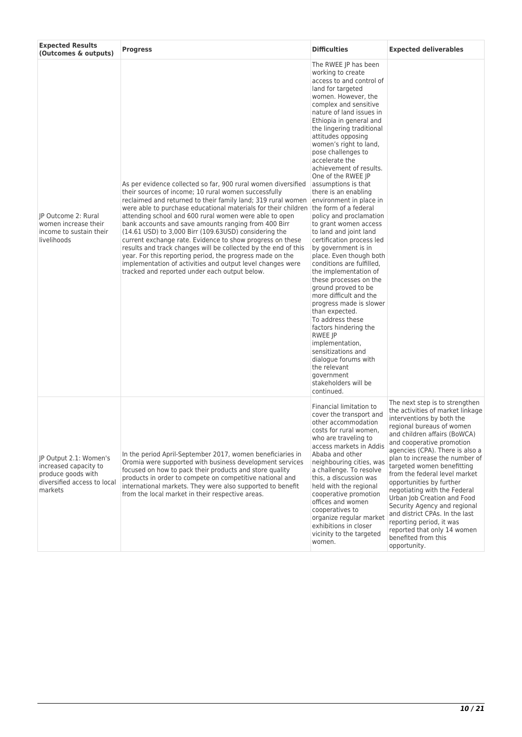| <b>Expected Results</b><br>(Outcomes & outputs)                                                                 | <b>Progress</b>                                                                                                                                                                                                                                                                                                                                                                                                                                                                                                                                                                                                                                                                                                                               | <b>Difficulties</b>                                                                                                                                                                                                                                                                                                                                                                                                                                                                                                                                                                                                                                                                                                                                                                                                                                                                                                                                                                                                       | <b>Expected deliverables</b>                                                                                                                                                                                                                                                                                                                                                                                                                                                                                                                                                                 |
|-----------------------------------------------------------------------------------------------------------------|-----------------------------------------------------------------------------------------------------------------------------------------------------------------------------------------------------------------------------------------------------------------------------------------------------------------------------------------------------------------------------------------------------------------------------------------------------------------------------------------------------------------------------------------------------------------------------------------------------------------------------------------------------------------------------------------------------------------------------------------------|---------------------------------------------------------------------------------------------------------------------------------------------------------------------------------------------------------------------------------------------------------------------------------------------------------------------------------------------------------------------------------------------------------------------------------------------------------------------------------------------------------------------------------------------------------------------------------------------------------------------------------------------------------------------------------------------------------------------------------------------------------------------------------------------------------------------------------------------------------------------------------------------------------------------------------------------------------------------------------------------------------------------------|----------------------------------------------------------------------------------------------------------------------------------------------------------------------------------------------------------------------------------------------------------------------------------------------------------------------------------------------------------------------------------------------------------------------------------------------------------------------------------------------------------------------------------------------------------------------------------------------|
| JP Outcome 2: Rural<br>women increase their<br>income to sustain their<br>livelihoods                           | As per evidence collected so far, 900 rural women diversified<br>their sources of income; 10 rural women successfully<br>reclaimed and returned to their family land; 319 rural women<br>were able to purchase educational materials for their children<br>attending school and 600 rural women were able to open<br>bank accounts and save amounts ranging from 400 Birr<br>(14.61 USD) to 3,000 Birr (109.63USD) considering the<br>current exchange rate. Evidence to show progress on these<br>results and track changes will be collected by the end of this<br>year. For this reporting period, the progress made on the<br>implementation of activities and output level changes were<br>tracked and reported under each output below. | The RWEE JP has been<br>working to create<br>access to and control of<br>land for targeted<br>women. However, the<br>complex and sensitive<br>nature of land issues in<br>Ethiopia in general and<br>the lingering traditional<br>attitudes opposing<br>women's right to land,<br>pose challenges to<br>accelerate the<br>achievement of results.<br>One of the RWEE JP<br>assumptions is that<br>there is an enabling<br>environment in place in<br>the form of a federal<br>policy and proclamation<br>to grant women access<br>to land and joint land<br>certification process led<br>by government is in<br>place. Even though both<br>conditions are fulfilled,<br>the implementation of<br>these processes on the<br>ground proved to be<br>more difficult and the<br>progress made is slower<br>than expected.<br>To address these<br>factors hindering the<br><b>RWEE JP</b><br>implementation,<br>sensitizations and<br>dialogue forums with<br>the relevant<br>government<br>stakeholders will be<br>continued. |                                                                                                                                                                                                                                                                                                                                                                                                                                                                                                                                                                                              |
| JP Output 2.1: Women's<br>increased capacity to<br>produce goods with<br>diversified access to local<br>markets | In the period April-September 2017, women beneficiaries in<br>Oromia were supported with business development services<br>focused on how to pack their products and store quality<br>products in order to compete on competitive national and<br>international markets. They were also supported to benefit<br>from the local market in their respective areas.                                                                                                                                                                                                                                                                                                                                                                               | Financial limitation to<br>cover the transport and<br>other accommodation<br>costs for rural women,<br>who are traveling to<br>access markets in Addis<br>Ababa and other<br>neighbouring cities, was<br>a challenge. To resolve<br>this, a discussion was<br>held with the regional<br>cooperative promotion<br>offices and women<br>cooperatives to<br>organize regular market<br>exhibitions in closer<br>vicinity to the targeted<br>women.                                                                                                                                                                                                                                                                                                                                                                                                                                                                                                                                                                           | The next step is to strengthen<br>the activities of market linkage<br>interventions by both the<br>regional bureaus of women<br>and children affairs (BoWCA)<br>and cooperative promotion<br>agencies (CPA). There is also a<br>plan to increase the number of<br>targeted women benefitting<br>from the federal level market<br>opportunities by further<br>negotiating with the Federal<br>Urban Job Creation and Food<br>Security Agency and regional<br>and district CPAs. In the last<br>reporting period, it was<br>reported that only 14 women<br>benefited from this<br>opportunity. |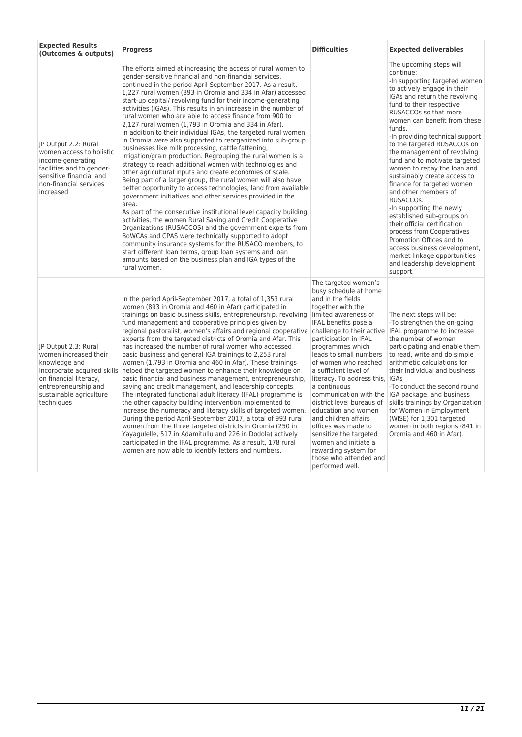| <b>Expected Results</b><br>(Outcomes & outputs)                                                                                                                      | <b>Progress</b>                                                                                                                                                                                                                                                                                                                                                                                                                                                                                                                                                                                                                                                                                                                                                                                                                                                                                                                                                                                                                                                                                                                                                                                                                                                                                                                                                                                                                                                                                                                                    | <b>Difficulties</b>                                                                                                                                                                                                                                                                                                                                                                                                                                                                                                                          | <b>Expected deliverables</b>                                                                                                                                                                                                                                                                                                                                                                                                                                                                                                                                                                                                                                                                                                                                         |
|----------------------------------------------------------------------------------------------------------------------------------------------------------------------|----------------------------------------------------------------------------------------------------------------------------------------------------------------------------------------------------------------------------------------------------------------------------------------------------------------------------------------------------------------------------------------------------------------------------------------------------------------------------------------------------------------------------------------------------------------------------------------------------------------------------------------------------------------------------------------------------------------------------------------------------------------------------------------------------------------------------------------------------------------------------------------------------------------------------------------------------------------------------------------------------------------------------------------------------------------------------------------------------------------------------------------------------------------------------------------------------------------------------------------------------------------------------------------------------------------------------------------------------------------------------------------------------------------------------------------------------------------------------------------------------------------------------------------------------|----------------------------------------------------------------------------------------------------------------------------------------------------------------------------------------------------------------------------------------------------------------------------------------------------------------------------------------------------------------------------------------------------------------------------------------------------------------------------------------------------------------------------------------------|----------------------------------------------------------------------------------------------------------------------------------------------------------------------------------------------------------------------------------------------------------------------------------------------------------------------------------------------------------------------------------------------------------------------------------------------------------------------------------------------------------------------------------------------------------------------------------------------------------------------------------------------------------------------------------------------------------------------------------------------------------------------|
| IP Output 2.2: Rural<br>women access to holistic<br>income-generating<br>facilities and to gender-<br>sensitive financial and<br>non-financial services<br>increased | The efforts aimed at increasing the access of rural women to<br>gender-sensitive financial and non-financial services,<br>continued in the period April-September 2017. As a result,<br>1,227 rural women (893 in Oromia and 334 in Afar) accessed<br>start-up capital/ revolving fund for their income-generating<br>activities (IGAs). This results in an increase in the number of<br>rural women who are able to access finance from 900 to<br>2,127 rural women (1,793 in Oromia and 334 in Afar).<br>In addition to their individual IGAs, the targeted rural women<br>in Oromia were also supported to reorganized into sub-group<br>businesses like milk processing, cattle fattening,<br>irrigation/grain production. Regrouping the rural women is a<br>strategy to reach additional women with technologies and<br>other agricultural inputs and create economies of scale.<br>Being part of a larger group, the rural women will also have<br>better opportunity to access technologies, land from available<br>government initiatives and other services provided in the<br>area.<br>As part of the consecutive institutional level capacity building<br>activities, the women Rural Saving and Credit Cooperative<br>Organizations (RUSACCOS) and the government experts from<br>BoWCAs and CPAS were technically supported to adopt<br>community insurance systems for the RUSACO members, to<br>start different loan terms, group loan systems and loan<br>amounts based on the business plan and IGA types of the<br>rural women. |                                                                                                                                                                                                                                                                                                                                                                                                                                                                                                                                              | The upcoming steps will<br>continue:<br>-In supporting targeted women<br>to actively engage in their<br>IGAs and return the revolving<br>fund to their respective<br>RUSACCOs so that more<br>women can benefit from these<br>funds.<br>-In providing technical support<br>to the targeted RUSACCOs on<br>the management of revolving<br>fund and to motivate targeted<br>women to repay the loan and<br>sustainably create access to<br>finance for targeted women<br>and other members of<br>RUSACCOS.<br>-In supporting the newly<br>established sub-groups on<br>their official certification<br>process from Cooperatives<br>Promotion Offices and to<br>access business development,<br>market linkage opportunities<br>and leadership development<br>support. |
| IP Output 2.3: Rural<br>women increased their<br>knowledge and<br>on financial literacy,<br>entrepreneurship and<br>sustainable agriculture<br>techniques            | In the period April-September 2017, a total of 1,353 rural<br>women (893 in Oromia and 460 in Afar) participated in<br>trainings on basic business skills, entrepreneurship, revolving<br>fund management and cooperative principles given by<br>regional pastoralist, women's affairs and regional cooperative challenge to their active   IFAL programme to increase<br>experts from the targeted districts of Oromia and Afar. This<br>has increased the number of rural women who accessed<br>basic business and general IGA trainings to 2,253 rural<br>women (1,793 in Oromia and 460 in Afar). These trainings<br>incorporate acquired skills helped the targeted women to enhance their knowledge on<br>basic financial and business management, entrepreneurship,<br>saving and credit management, and leadership concepts.<br>The integrated functional adult literacy (IFAL) programme is<br>the other capacity building intervention implemented to<br>increase the numeracy and literacy skills of targeted women.<br>During the period April-September 2017, a total of 993 rural<br>women from the three targeted districts in Oromia (250 in<br>Yayagulelle, 517 in Adamitullu and 226 in Dodola) actively<br>participated in the IFAL programme. As a result, 178 rural<br>women are now able to identify letters and numbers.                                                                                                                                                                                                    | The targeted women's<br>busy schedule at home<br>and in the fields<br>together with the<br>limited awareness of<br>IFAL benefits pose a<br>participation in IFAL<br>programmes which<br>leads to small numbers<br>of women who reached<br>a sufficient level of<br>literacy. To address this, IGAs<br>a continuous<br>district level bureaus of<br>education and women<br>and children affairs<br>offices was made to<br>sensitize the targeted<br>women and initiate a<br>rewarding system for<br>those who attended and<br>performed well. | The next steps will be:<br>-To strengthen the on-going<br>the number of women<br>participating and enable them<br>to read, write and do simple<br>arithmetic calculations for<br>their individual and business<br>-To conduct the second round<br>communication with the IGA package, and business<br>skills trainings by Organization<br>for Women in Employment<br>(WISE) for 1,301 targeted<br>women in both regions (841 in<br>Oromia and 460 in Afar).                                                                                                                                                                                                                                                                                                          |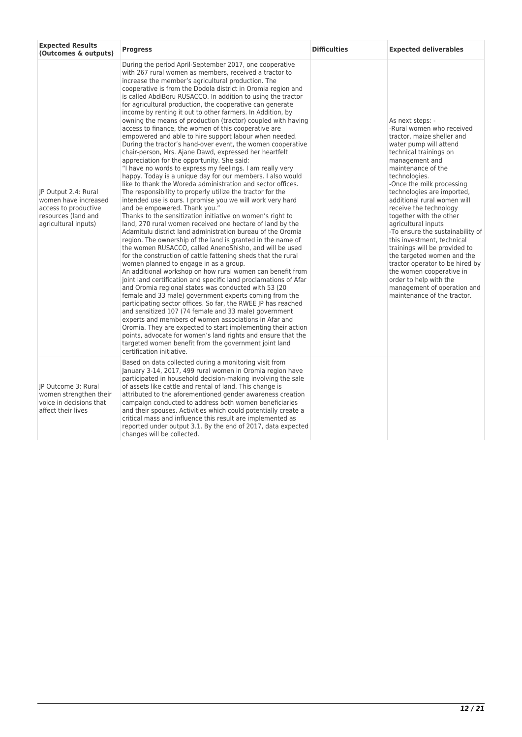| <b>Expected Results</b><br>(Outcomes & outputs)                                                                     | <b>Progress</b>                                                                                                                                                                                                                                                                                                                                                                                                                                                                                                                                                                                                                                                                                                                                                                                                                                                                                                                                                                                                                                                                                                                                                                                                                                                                                                                                                                                                                                                                                                                                                                                                                                                                                                                                                                                                                                                                                                                                                                                                                                                                                                                                                                                                                                 | <b>Difficulties</b> | <b>Expected deliverables</b>                                                                                                                                                                                                                                                                                                                                                                                                                                                                                                                                                                                                                           |
|---------------------------------------------------------------------------------------------------------------------|-------------------------------------------------------------------------------------------------------------------------------------------------------------------------------------------------------------------------------------------------------------------------------------------------------------------------------------------------------------------------------------------------------------------------------------------------------------------------------------------------------------------------------------------------------------------------------------------------------------------------------------------------------------------------------------------------------------------------------------------------------------------------------------------------------------------------------------------------------------------------------------------------------------------------------------------------------------------------------------------------------------------------------------------------------------------------------------------------------------------------------------------------------------------------------------------------------------------------------------------------------------------------------------------------------------------------------------------------------------------------------------------------------------------------------------------------------------------------------------------------------------------------------------------------------------------------------------------------------------------------------------------------------------------------------------------------------------------------------------------------------------------------------------------------------------------------------------------------------------------------------------------------------------------------------------------------------------------------------------------------------------------------------------------------------------------------------------------------------------------------------------------------------------------------------------------------------------------------------------------------|---------------------|--------------------------------------------------------------------------------------------------------------------------------------------------------------------------------------------------------------------------------------------------------------------------------------------------------------------------------------------------------------------------------------------------------------------------------------------------------------------------------------------------------------------------------------------------------------------------------------------------------------------------------------------------------|
| IP Output 2.4: Rural<br>women have increased<br>access to productive<br>resources (land and<br>agricultural inputs) | During the period April-September 2017, one cooperative<br>with 267 rural women as members, received a tractor to<br>increase the member's agricultural production. The<br>cooperative is from the Dodola district in Oromia region and<br>is called AbdiBoru RUSACCO. In addition to using the tractor<br>for agricultural production, the cooperative can generate<br>income by renting it out to other farmers. In Addition, by<br>owning the means of production (tractor) coupled with having<br>access to finance, the women of this cooperative are<br>empowered and able to hire support labour when needed.<br>During the tractor's hand-over event, the women cooperative<br>chair-person, Mrs. Ajane Dawd, expressed her heartfelt<br>appreciation for the opportunity. She said:<br>"I have no words to express my feelings. I am really very<br>happy. Today is a unique day for our members. I also would<br>like to thank the Woreda administration and sector offices.<br>The responsibility to properly utilize the tractor for the<br>intended use is ours. I promise you we will work very hard<br>and be empowered. Thank you."<br>Thanks to the sensitization initiative on women's right to<br>land, 270 rural women received one hectare of land by the<br>Adamitulu district land administration bureau of the Oromia<br>region. The ownership of the land is granted in the name of<br>the women RUSACCO, called AnenoShisho, and will be used<br>for the construction of cattle fattening sheds that the rural<br>women planned to engage in as a group.<br>An additional workshop on how rural women can benefit from<br>joint land certification and specific land proclamations of Afar<br>and Oromia regional states was conducted with 53 (20<br>female and 33 male) government experts coming from the<br>participating sector offices. So far, the RWEE JP has reached<br>and sensitized 107 (74 female and 33 male) government<br>experts and members of women associations in Afar and<br>Oromia. They are expected to start implementing their action<br>points, advocate for women's land rights and ensure that the<br>targeted women benefit from the government joint land<br>certification initiative. |                     | As next steps: -<br>-Rural women who received<br>tractor, maize sheller and<br>water pump will attend<br>technical trainings on<br>management and<br>maintenance of the<br>technologies.<br>-Once the milk processing<br>technologies are imported,<br>additional rural women will<br>receive the technology<br>together with the other<br>agricultural inputs<br>-To ensure the sustainability of<br>this investment, technical<br>trainings will be provided to<br>the targeted women and the<br>tractor operator to be hired by<br>the women cooperative in<br>order to help with the<br>management of operation and<br>maintenance of the tractor. |
| JP Outcome 3: Rural<br>women strengthen their<br>voice in decisions that<br>affect their lives                      | Based on data collected during a monitoring visit from<br>January 3-14, 2017, 499 rural women in Oromia region have<br>participated in household decision-making involving the sale<br>of assets like cattle and rental of land. This change is<br>attributed to the aforementioned gender awareness creation<br>campaign conducted to address both women beneficiaries<br>and their spouses. Activities which could potentially create a<br>critical mass and influence this result are implemented as<br>reported under output 3.1. By the end of 2017, data expected<br>changes will be collected.                                                                                                                                                                                                                                                                                                                                                                                                                                                                                                                                                                                                                                                                                                                                                                                                                                                                                                                                                                                                                                                                                                                                                                                                                                                                                                                                                                                                                                                                                                                                                                                                                                           |                     |                                                                                                                                                                                                                                                                                                                                                                                                                                                                                                                                                                                                                                                        |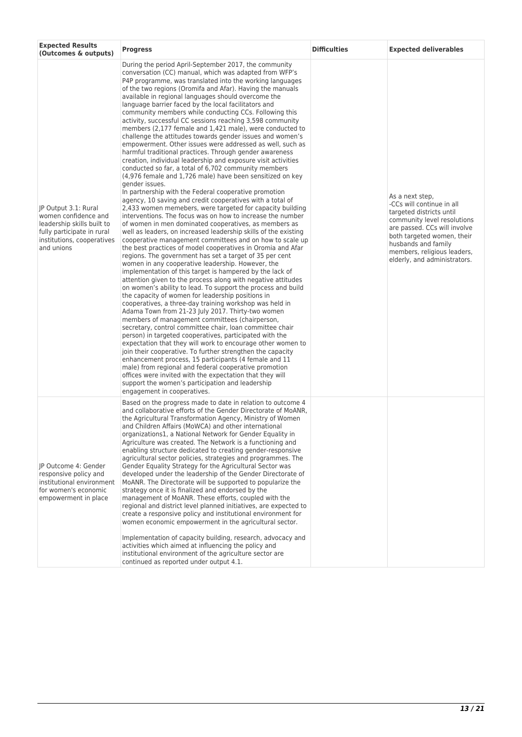| <b>Expected Results</b><br>(Outcomes & outputs)                                                                                                      | <b>Progress</b>                                                                                                                                                                                                                                                                                                                                                                                                                                                                                                                                                                                                                                                                                                                                                                                                                                                                                                                                                                                                                                                                                                                                                                                                                                                                                                                                                                                                                                                                                                                                                                                                                                                                                                                                                                                                                                                                                                                                                                                                                                                                                                                                                                                                                                                                                                                                                                                                                                                                                         | <b>Difficulties</b> | <b>Expected deliverables</b>                                                                                                                                                                                                                                |
|------------------------------------------------------------------------------------------------------------------------------------------------------|---------------------------------------------------------------------------------------------------------------------------------------------------------------------------------------------------------------------------------------------------------------------------------------------------------------------------------------------------------------------------------------------------------------------------------------------------------------------------------------------------------------------------------------------------------------------------------------------------------------------------------------------------------------------------------------------------------------------------------------------------------------------------------------------------------------------------------------------------------------------------------------------------------------------------------------------------------------------------------------------------------------------------------------------------------------------------------------------------------------------------------------------------------------------------------------------------------------------------------------------------------------------------------------------------------------------------------------------------------------------------------------------------------------------------------------------------------------------------------------------------------------------------------------------------------------------------------------------------------------------------------------------------------------------------------------------------------------------------------------------------------------------------------------------------------------------------------------------------------------------------------------------------------------------------------------------------------------------------------------------------------------------------------------------------------------------------------------------------------------------------------------------------------------------------------------------------------------------------------------------------------------------------------------------------------------------------------------------------------------------------------------------------------------------------------------------------------------------------------------------------------|---------------------|-------------------------------------------------------------------------------------------------------------------------------------------------------------------------------------------------------------------------------------------------------------|
| JP Output 3.1: Rural<br>women confidence and<br>leadership skills built to<br>fully participate in rural<br>institutions, cooperatives<br>and unions | During the period April-September 2017, the community<br>conversation (CC) manual, which was adapted from WFP's<br>P4P programme, was translated into the working languages<br>of the two regions (Oromifa and Afar). Having the manuals<br>available in regional languages should overcome the<br>language barrier faced by the local facilitators and<br>community members while conducting CCs. Following this<br>activity, successful CC sessions reaching 3,598 community<br>members (2,177 female and 1,421 male), were conducted to<br>challenge the attitudes towards gender issues and women's<br>empowerment. Other issues were addressed as well, such as<br>harmful traditional practices. Through gender awareness<br>creation, individual leadership and exposure visit activities<br>conducted so far, a total of 6,702 community members<br>(4,976 female and 1,726 male) have been sensitized on key<br>gender issues.<br>In partnership with the Federal cooperative promotion<br>agency, 10 saving and credit cooperatives with a total of<br>2,433 women memebers, were targeted for capacity building<br>interventions. The focus was on how to increase the number<br>of women in men dominated cooperatives, as members as<br>well as leaders, on increased leadership skills of the existing<br>cooperative management committees and on how to scale up<br>the best practices of model cooperatives in Oromia and Afar<br>regions. The government has set a target of 35 per cent<br>women in any cooperative leadership. However, the<br>implementation of this target is hampered by the lack of<br>attention given to the process along with negative attitudes<br>on women's ability to lead. To support the process and build<br>the capacity of women for leadership positions in<br>cooperatives, a three-day training workshop was held in<br>Adama Town from 21-23 July 2017. Thirty-two women<br>members of management committees (chairperson,<br>secretary, control committee chair, loan committee chair<br>person) in targeted cooperatives, participated with the<br>expectation that they will work to encourage other women to<br>join their cooperative. To further strengthen the capacity<br>enhancement process, 15 participants (4 female and 11<br>male) from regional and federal cooperative promotion<br>offices were invited with the expectation that they will<br>support the women's participation and leadership<br>engagement in cooperatives. |                     | As a next step,<br>-CCs will continue in all<br>targeted districts until<br>community level resolutions<br>are passed. CCs will involve<br>both targeted women, their<br>husbands and family<br>members, religious leaders,<br>elderly, and administrators. |
| JP Outcome 4: Gender<br>responsive policy and<br>institutional environment<br>for women's economic<br>empowerment in place                           | Based on the progress made to date in relation to outcome 4<br>and collaborative efforts of the Gender Directorate of MoANR,<br>the Agricultural Transformation Agency, Ministry of Women<br>and Children Affairs (MoWCA) and other international<br>organizations1, a National Network for Gender Equality in<br>Agriculture was created. The Network is a functioning and<br>enabling structure dedicated to creating gender-responsive<br>agricultural sector policies, strategies and programmes. The<br>Gender Equality Strategy for the Agricultural Sector was<br>developed under the leadership of the Gender Directorate of<br>MoANR. The Directorate will be supported to popularize the<br>strategy once it is finalized and endorsed by the<br>management of MoANR. These efforts, coupled with the<br>regional and district level planned initiatives, are expected to<br>create a responsive policy and institutional environment for<br>women economic empowerment in the agricultural sector.<br>Implementation of capacity building, research, advocacy and<br>activities which aimed at influencing the policy and<br>institutional environment of the agriculture sector are<br>continued as reported under output 4.1.                                                                                                                                                                                                                                                                                                                                                                                                                                                                                                                                                                                                                                                                                                                                                                                                                                                                                                                                                                                                                                                                                                                                                                                                                                                              |                     |                                                                                                                                                                                                                                                             |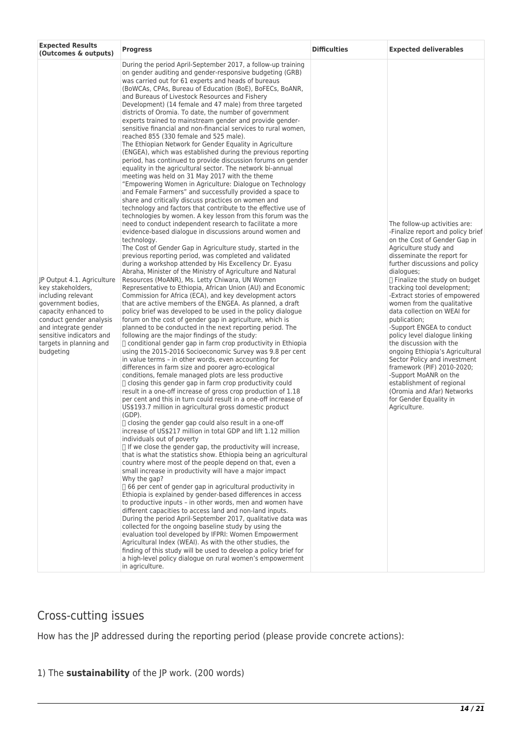| <b>Expected Results</b><br>(Outcomes & outputs)                                                                                                                                                                                            | <b>Progress</b>                                                                                                                                                                                                                                                                                                                                                                                                                                                                                                                                                                                                                                                                                                                                                                                                                                                                                                                                                                                                                                                                                                                                                                                                                                                                                                                                                                                                                                                                                                                                                                                                                                                                                                                                                                                                                                                                                                                                                                                                                                                                                                                                                                                                                                                                                                                                                                                                                                                                                                                                                                                                                                                                                                                                                                                                                                                                                                                                                                                                                                                                                                                                                                                                                                                                                                                                                                                                                                                                                                                                                                                                                                                                                                                                                                                       | <b>Difficulties</b> | <b>Expected deliverables</b>                                                                                                                                                                                                                                                                                                                                                                                                                                                                                                                                                                                                                                                                                    |
|--------------------------------------------------------------------------------------------------------------------------------------------------------------------------------------------------------------------------------------------|-------------------------------------------------------------------------------------------------------------------------------------------------------------------------------------------------------------------------------------------------------------------------------------------------------------------------------------------------------------------------------------------------------------------------------------------------------------------------------------------------------------------------------------------------------------------------------------------------------------------------------------------------------------------------------------------------------------------------------------------------------------------------------------------------------------------------------------------------------------------------------------------------------------------------------------------------------------------------------------------------------------------------------------------------------------------------------------------------------------------------------------------------------------------------------------------------------------------------------------------------------------------------------------------------------------------------------------------------------------------------------------------------------------------------------------------------------------------------------------------------------------------------------------------------------------------------------------------------------------------------------------------------------------------------------------------------------------------------------------------------------------------------------------------------------------------------------------------------------------------------------------------------------------------------------------------------------------------------------------------------------------------------------------------------------------------------------------------------------------------------------------------------------------------------------------------------------------------------------------------------------------------------------------------------------------------------------------------------------------------------------------------------------------------------------------------------------------------------------------------------------------------------------------------------------------------------------------------------------------------------------------------------------------------------------------------------------------------------------------------------------------------------------------------------------------------------------------------------------------------------------------------------------------------------------------------------------------------------------------------------------------------------------------------------------------------------------------------------------------------------------------------------------------------------------------------------------------------------------------------------------------------------------------------------------------------------------------------------------------------------------------------------------------------------------------------------------------------------------------------------------------------------------------------------------------------------------------------------------------------------------------------------------------------------------------------------------------------------------------------------------------------------------------------------------|---------------------|-----------------------------------------------------------------------------------------------------------------------------------------------------------------------------------------------------------------------------------------------------------------------------------------------------------------------------------------------------------------------------------------------------------------------------------------------------------------------------------------------------------------------------------------------------------------------------------------------------------------------------------------------------------------------------------------------------------------|
| JP Output 4.1. Agriculture<br>key stakeholders,<br>including relevant<br>government bodies,<br>capacity enhanced to<br>conduct gender analysis<br>and integrate gender<br>sensitive indicators and<br>targets in planning and<br>budgeting | During the period April-September 2017, a follow-up training<br>on gender auditing and gender-responsive budgeting (GRB)<br>was carried out for 61 experts and heads of bureaus<br>(BoWCAs, CPAs, Bureau of Education (BoE), BoFECs, BoANR,<br>and Bureaus of Livestock Resources and Fishery<br>Development) (14 female and 47 male) from three targeted<br>districts of Oromia. To date, the number of government<br>experts trained to mainstream gender and provide gender-<br>sensitive financial and non-financial services to rural women,<br>reached 855 (330 female and 525 male).<br>The Ethiopian Network for Gender Equality in Agriculture<br>(ENGEA), which was established during the previous reporting<br>period, has continued to provide discussion forums on gender<br>equality in the agricultural sector. The network bi-annual<br>meeting was held on 31 May 2017 with the theme<br>"Empowering Women in Agriculture: Dialogue on Technology<br>and Female Farmers" and successfully provided a space to<br>share and critically discuss practices on women and<br>technology and factors that contribute to the effective use of<br>technologies by women. A key lesson from this forum was the<br>need to conduct independent research to facilitate a more<br>evidence-based dialogue in discussions around women and<br>technology.<br>The Cost of Gender Gap in Agriculture study, started in the<br>previous reporting period, was completed and validated<br>during a workshop attended by His Excellency Dr. Eyasu<br>Abraha, Minister of the Ministry of Agriculture and Natural<br>Resources (MoANR), Ms. Letty Chiwara, UN Women<br>Representative to Ethiopia, African Union (AU) and Economic<br>Commission for Africa (ECA), and key development actors<br>that are active members of the ENGEA. As planned, a draft<br>policy brief was developed to be used in the policy dialogue<br>forum on the cost of gender gap in agriculture, which is<br>planned to be conducted in the next reporting period. The<br>following are the major findings of the study:<br>□ conditional gender gap in farm crop productivity in Ethiopia<br>using the 2015-2016 Socioeconomic Survey was 9.8 per cent<br>in value terms - in other words, even accounting for<br>differences in farm size and poorer agro-ecological<br>conditions, female managed plots are less productive<br>$\Box$ closing this gender gap in farm crop productivity could<br>result in a one-off increase of gross crop production of 1.18<br>per cent and this in turn could result in a one-off increase of<br>US\$193.7 million in agricultural gross domestic product<br>(GDP).<br>$\Box$ closing the gender gap could also result in a one-off<br>increase of US\$217 million in total GDP and lift 1.12 million<br>individuals out of poverty<br>$\Box$ If we close the gender gap, the productivity will increase,<br>that is what the statistics show. Ethiopia being an agricultural<br>country where most of the people depend on that, even a<br>small increase in productivity will have a major impact<br>Why the gap?<br>$\Box$ 66 per cent of gender gap in agricultural productivity in<br>Ethiopia is explained by gender-based differences in access<br>to productive inputs - in other words, men and women have<br>different capacities to access land and non-land inputs.<br>During the period April-September 2017, qualitative data was<br>collected for the ongoing baseline study by using the<br>evaluation tool developed by IFPRI: Women Empowerment<br>Agricultural Index (WEAI). As with the other studies, the<br>finding of this study will be used to develop a policy brief for<br>a high-level policy dialogue on rural women's empowerment<br>in agriculture. |                     | The follow-up activities are:<br>-Finalize report and policy brief<br>on the Cost of Gender Gap in<br>Agriculture study and<br>disseminate the report for<br>further discussions and policy<br>dialogues;<br>□ Finalize the study on budget<br>tracking tool development;<br>-Extract stories of empowered<br>women from the qualitative<br>data collection on WEAI for<br>publication;<br>-Support ENGEA to conduct<br>policy level dialogue linking<br>the discussion with the<br>ongoing Ethiopia's Agricultural<br>Sector Policy and investment<br>framework (PIF) 2010-2020;<br>-Support MoANR on the<br>establishment of regional<br>(Oromia and Afar) Networks<br>for Gender Equality in<br>Agriculture. |

# Cross-cutting issues

How has the JP addressed during the reporting period (please provide concrete actions):

#### 1) The **sustainability** of the JP work. (200 words)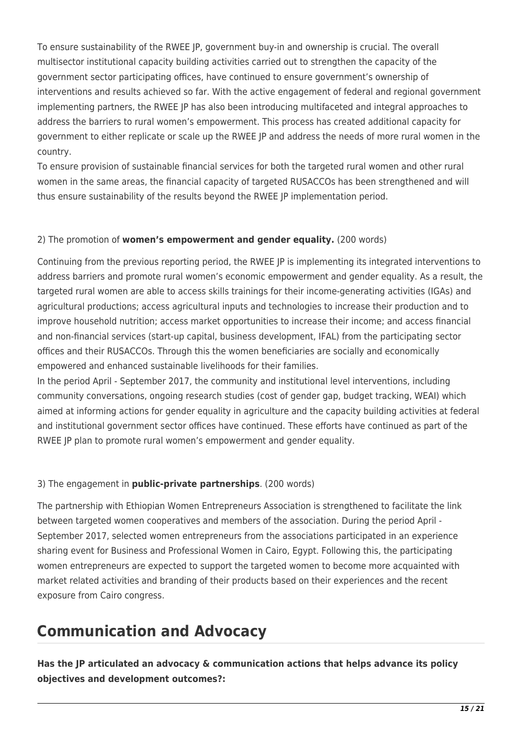To ensure sustainability of the RWEE JP, government buy-in and ownership is crucial. The overall multisector institutional capacity building activities carried out to strengthen the capacity of the government sector participating offices, have continued to ensure government's ownership of interventions and results achieved so far. With the active engagement of federal and regional government implementing partners, the RWEE JP has also been introducing multifaceted and integral approaches to address the barriers to rural women's empowerment. This process has created additional capacity for government to either replicate or scale up the RWEE JP and address the needs of more rural women in the country.

To ensure provision of sustainable financial services for both the targeted rural women and other rural women in the same areas, the financial capacity of targeted RUSACCOs has been strengthened and will thus ensure sustainability of the results beyond the RWEE JP implementation period.

#### 2) The promotion of **women's empowerment and gender equality.** (200 words)

Continuing from the previous reporting period, the RWEE JP is implementing its integrated interventions to address barriers and promote rural women's economic empowerment and gender equality. As a result, the targeted rural women are able to access skills trainings for their income-generating activities (IGAs) and agricultural productions; access agricultural inputs and technologies to increase their production and to improve household nutrition; access market opportunities to increase their income; and access financial and non-financial services (start-up capital, business development, IFAL) from the participating sector offices and their RUSACCOs. Through this the women beneficiaries are socially and economically empowered and enhanced sustainable livelihoods for their families.

In the period April - September 2017, the community and institutional level interventions, including community conversations, ongoing research studies (cost of gender gap, budget tracking, WEAI) which aimed at informing actions for gender equality in agriculture and the capacity building activities at federal and institutional government sector offices have continued. These efforts have continued as part of the RWEE JP plan to promote rural women's empowerment and gender equality.

#### 3) The engagement in **public-private partnerships**. (200 words)

The partnership with Ethiopian Women Entrepreneurs Association is strengthened to facilitate the link between targeted women cooperatives and members of the association. During the period April - September 2017, selected women entrepreneurs from the associations participated in an experience sharing event for Business and Professional Women in Cairo, Egypt. Following this, the participating women entrepreneurs are expected to support the targeted women to become more acquainted with market related activities and branding of their products based on their experiences and the recent exposure from Cairo congress.

# **Communication and Advocacy**

**Has the JP articulated an advocacy & communication actions that helps advance its policy objectives and development outcomes?:**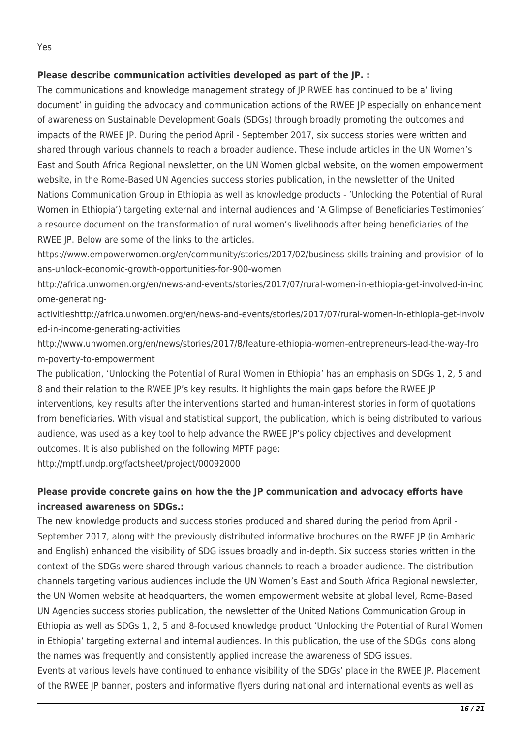#### **Please describe communication activities developed as part of the JP. :**

The communications and knowledge management strategy of JP RWEE has continued to be a' living document' in guiding the advocacy and communication actions of the RWEE JP especially on enhancement of awareness on Sustainable Development Goals (SDGs) through broadly promoting the outcomes and impacts of the RWEE JP. During the period April - September 2017, six success stories were written and shared through various channels to reach a broader audience. These include articles in the UN Women's East and South Africa Regional newsletter, on the UN Women global website, on the women empowerment website, in the Rome-Based UN Agencies success stories publication, in the newsletter of the United Nations Communication Group in Ethiopia as well as knowledge products - 'Unlocking the Potential of Rural Women in Ethiopia') targeting external and internal audiences and 'A Glimpse of Beneficiaries Testimonies' a resource document on the transformation of rural women's livelihoods after being beneficiaries of the RWEE JP. Below are some of the links to the articles.

https://www.empowerwomen.org/en/community/stories/2017/02/business-skills-training-and-provision-of-lo ans-unlock-economic-growth-opportunities-for-900-women

http://africa.unwomen.org/en/news-and-events/stories/2017/07/rural-women-in-ethiopia-get-involved-in-inc ome-generating-

activitieshttp://africa.unwomen.org/en/news-and-events/stories/2017/07/rural-women-in-ethiopia-get-involv ed-in-income-generating-activities

http://www.unwomen.org/en/news/stories/2017/8/feature-ethiopia-women-entrepreneurs-lead-the-way-fro m-poverty-to-empowerment

The publication, 'Unlocking the Potential of Rural Women in Ethiopia' has an emphasis on SDGs 1, 2, 5 and 8 and their relation to the RWEE JP's key results. It highlights the main gaps before the RWEE JP interventions, key results after the interventions started and human-interest stories in form of quotations from beneficiaries. With visual and statistical support, the publication, which is being distributed to various audience, was used as a key tool to help advance the RWEE JP's policy objectives and development outcomes. It is also published on the following MPTF page:

http://mptf.undp.org/factsheet/project/00092000

### **Please provide concrete gains on how the the JP communication and advocacy efforts have increased awareness on SDGs.:**

The new knowledge products and success stories produced and shared during the period from April - September 2017, along with the previously distributed informative brochures on the RWEE JP (in Amharic and English) enhanced the visibility of SDG issues broadly and in-depth. Six success stories written in the context of the SDGs were shared through various channels to reach a broader audience. The distribution channels targeting various audiences include the UN Women's East and South Africa Regional newsletter, the UN Women website at headquarters, the women empowerment website at global level, Rome-Based UN Agencies success stories publication, the newsletter of the United Nations Communication Group in Ethiopia as well as SDGs 1, 2, 5 and 8-focused knowledge product 'Unlocking the Potential of Rural Women in Ethiopia' targeting external and internal audiences. In this publication, the use of the SDGs icons along the names was frequently and consistently applied increase the awareness of SDG issues.

Events at various levels have continued to enhance visibility of the SDGs' place in the RWEE JP. Placement of the RWEE JP banner, posters and informative flyers during national and international events as well as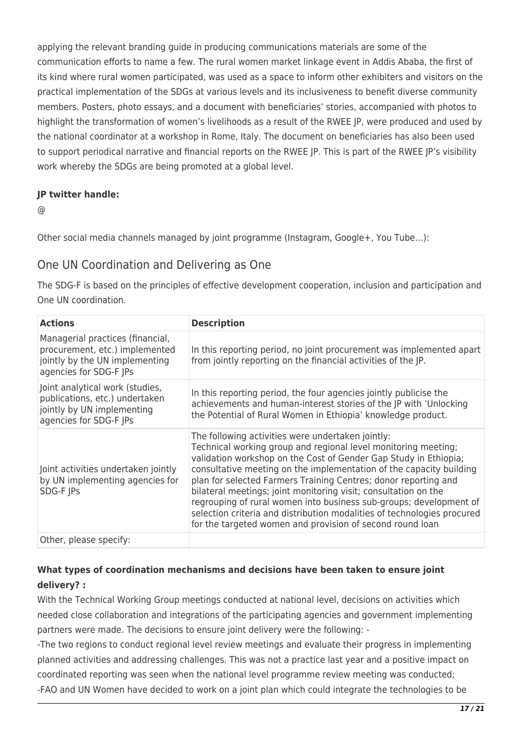applying the relevant branding guide in producing communications materials are some of the communication efforts to name a few. The rural women market linkage event in Addis Ababa, the first of its kind where rural women participated, was used as a space to inform other exhibiters and visitors on the practical implementation of the SDGs at various levels and its inclusiveness to benefit diverse community members. Posters, photo essays, and a document with beneficiaries' stories, accompanied with photos to highlight the transformation of women's livelihoods as a result of the RWEE JP, were produced and used by the national coordinator at a workshop in Rome, Italy. The document on beneficiaries has also been used to support periodical narrative and financial reports on the RWEE JP. This is part of the RWEE JP's visibility work whereby the SDGs are being promoted at a global level.

#### **JP twitter handle:**

 $\omega$ 

Other social media channels managed by joint programme (Instagram, Google+, You Tube…):

## One UN Coordination and Delivering as One

The SDG-F is based on the principles of effective development cooperation, inclusion and participation and One UN coordination.

| <b>Actions</b>                                                                                                                 | <b>Description</b>                                                                                                                                                                                                                                                                                                                                                                                                                                                                                                                                                                                                 |
|--------------------------------------------------------------------------------------------------------------------------------|--------------------------------------------------------------------------------------------------------------------------------------------------------------------------------------------------------------------------------------------------------------------------------------------------------------------------------------------------------------------------------------------------------------------------------------------------------------------------------------------------------------------------------------------------------------------------------------------------------------------|
| Managerial practices (financial,<br>procurement, etc.) implemented<br>jointly by the UN implementing<br>agencies for SDG-F JPs | In this reporting period, no joint procurement was implemented apart<br>from jointly reporting on the financial activities of the JP.                                                                                                                                                                                                                                                                                                                                                                                                                                                                              |
| Joint analytical work (studies,<br>publications, etc.) undertaken<br>jointly by UN implementing<br>agencies for SDG-F JPs      | In this reporting period, the four agencies jointly publicise the<br>achievements and human-interest stories of the JP with 'Unlocking<br>the Potential of Rural Women in Ethiopia' knowledge product.                                                                                                                                                                                                                                                                                                                                                                                                             |
| Joint activities undertaken jointly<br>by UN implementing agencies for<br>SDG-F JPs                                            | The following activities were undertaken jointly:<br>Technical working group and regional level monitoring meeting;<br>validation workshop on the Cost of Gender Gap Study in Ethiopia;<br>consultative meeting on the implementation of the capacity building<br>plan for selected Farmers Training Centres; donor reporting and<br>bilateral meetings; joint monitoring visit; consultation on the<br>regrouping of rural women into business sub-groups; development of<br>selection criteria and distribution modalities of technologies procured<br>for the targeted women and provision of second round loan |
| Other, please specify:                                                                                                         |                                                                                                                                                                                                                                                                                                                                                                                                                                                                                                                                                                                                                    |

### **What types of coordination mechanisms and decisions have been taken to ensure joint delivery? :**

With the Technical Working Group meetings conducted at national level, decisions on activities which needed close collaboration and integrations of the participating agencies and government implementing partners were made. The decisions to ensure joint delivery were the following: -

-The two regions to conduct regional level review meetings and evaluate their progress in implementing planned activities and addressing challenges. This was not a practice last year and a positive impact on coordinated reporting was seen when the national level programme review meeting was conducted; -FAO and UN Women have decided to work on a joint plan which could integrate the technologies to be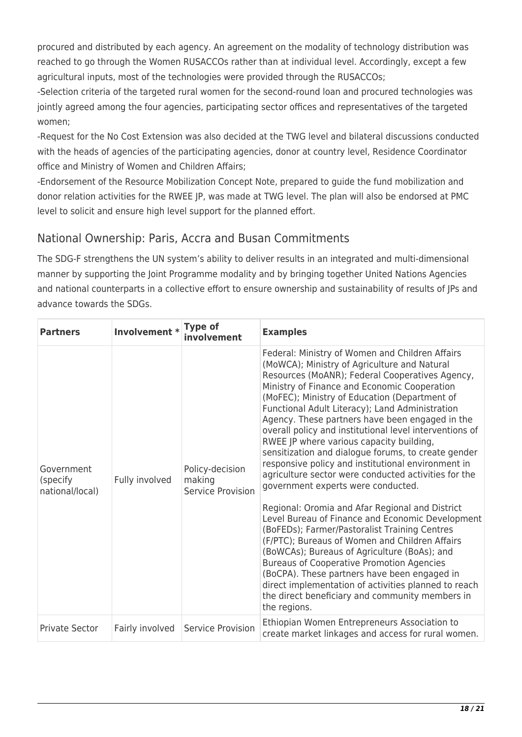procured and distributed by each agency. An agreement on the modality of technology distribution was reached to go through the Women RUSACCOs rather than at individual level. Accordingly, except a few agricultural inputs, most of the technologies were provided through the RUSACCOs;

-Selection criteria of the targeted rural women for the second-round loan and procured technologies was jointly agreed among the four agencies, participating sector offices and representatives of the targeted women;

-Request for the No Cost Extension was also decided at the TWG level and bilateral discussions conducted with the heads of agencies of the participating agencies, donor at country level, Residence Coordinator office and Ministry of Women and Children Affairs;

-Endorsement of the Resource Mobilization Concept Note, prepared to guide the fund mobilization and donor relation activities for the RWEE JP, was made at TWG level. The plan will also be endorsed at PMC level to solicit and ensure high level support for the planned effort.

## National Ownership: Paris, Accra and Busan Commitments

The SDG-F strengthens the UN system's ability to deliver results in an integrated and multi-dimensional manner by supporting the Joint Programme modality and by bringing together United Nations Agencies and national counterparts in a collective effort to ensure ownership and sustainability of results of JPs and advance towards the SDGs.

| <b>Partners</b>                           | Involvement *   | <b>Type of</b><br>involvement                  | <b>Examples</b>                                                                                                                                                                                                                                                                                                                                                                                                                                                                                                                                                                                                                                                                                                                                                                                                                                                                                                                                                                                                                                                                                                                                                      |
|-------------------------------------------|-----------------|------------------------------------------------|----------------------------------------------------------------------------------------------------------------------------------------------------------------------------------------------------------------------------------------------------------------------------------------------------------------------------------------------------------------------------------------------------------------------------------------------------------------------------------------------------------------------------------------------------------------------------------------------------------------------------------------------------------------------------------------------------------------------------------------------------------------------------------------------------------------------------------------------------------------------------------------------------------------------------------------------------------------------------------------------------------------------------------------------------------------------------------------------------------------------------------------------------------------------|
| Government<br>(specify<br>national/local) | Fully involved  | Policy-decision<br>making<br>Service Provision | Federal: Ministry of Women and Children Affairs<br>(MoWCA); Ministry of Agriculture and Natural<br>Resources (MoANR); Federal Cooperatives Agency,<br>Ministry of Finance and Economic Cooperation<br>(MoFEC); Ministry of Education (Department of<br>Functional Adult Literacy); Land Administration<br>Agency. These partners have been engaged in the<br>overall policy and institutional level interventions of<br>RWEE JP where various capacity building,<br>sensitization and dialogue forums, to create gender<br>responsive policy and institutional environment in<br>agriculture sector were conducted activities for the<br>government experts were conducted.<br>Regional: Oromia and Afar Regional and District<br>Level Bureau of Finance and Economic Development<br>(BoFEDs); Farmer/Pastoralist Training Centres<br>(F/PTC); Bureaus of Women and Children Affairs<br>(BoWCAs); Bureaus of Agriculture (BoAs); and<br><b>Bureaus of Cooperative Promotion Agencies</b><br>(BoCPA). These partners have been engaged in<br>direct implementation of activities planned to reach<br>the direct beneficiary and community members in<br>the regions. |
| <b>Private Sector</b>                     | Fairly involved | Service Provision                              | Ethiopian Women Entrepreneurs Association to<br>create market linkages and access for rural women.                                                                                                                                                                                                                                                                                                                                                                                                                                                                                                                                                                                                                                                                                                                                                                                                                                                                                                                                                                                                                                                                   |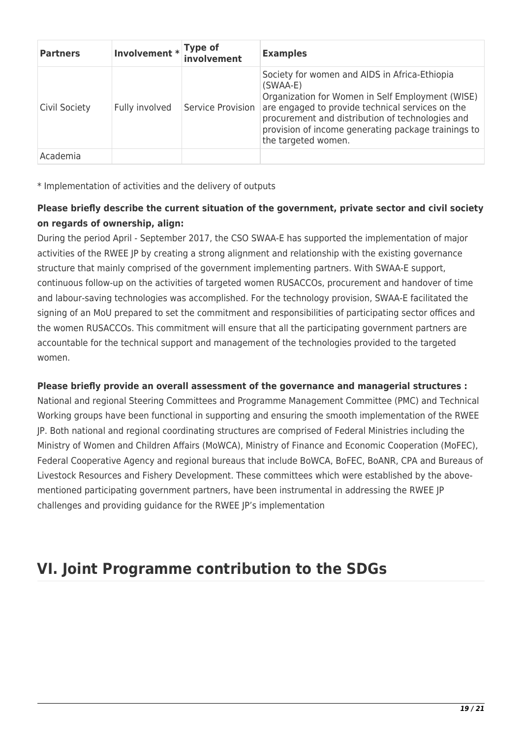| <b>Partners</b> | Involvement *  | <b>Type of</b><br>involvement | <b>Examples</b>                                                                                                                                                                                                                                                                                       |
|-----------------|----------------|-------------------------------|-------------------------------------------------------------------------------------------------------------------------------------------------------------------------------------------------------------------------------------------------------------------------------------------------------|
| Civil Society   | Fully involved | Service Provision             | Society for women and AIDS in Africa-Ethiopia<br>$(SWAA-E)$<br>Organization for Women in Self Employment (WISE)<br>are engaged to provide technical services on the<br>procurement and distribution of technologies and<br>provision of income generating package trainings to<br>the targeted women. |
| Academia        |                |                               |                                                                                                                                                                                                                                                                                                       |

\* Implementation of activities and the delivery of outputs

#### **Please briefly describe the current situation of the government, private sector and civil society on regards of ownership, align:**

During the period April - September 2017, the CSO SWAA-E has supported the implementation of major activities of the RWEE JP by creating a strong alignment and relationship with the existing governance structure that mainly comprised of the government implementing partners. With SWAA-E support, continuous follow-up on the activities of targeted women RUSACCOs, procurement and handover of time and labour-saving technologies was accomplished. For the technology provision, SWAA-E facilitated the signing of an MoU prepared to set the commitment and responsibilities of participating sector offices and the women RUSACCOs. This commitment will ensure that all the participating government partners are accountable for the technical support and management of the technologies provided to the targeted women.

#### **Please briefly provide an overall assessment of the governance and managerial structures :**

National and regional Steering Committees and Programme Management Committee (PMC) and Technical Working groups have been functional in supporting and ensuring the smooth implementation of the RWEE JP. Both national and regional coordinating structures are comprised of Federal Ministries including the Ministry of Women and Children Affairs (MoWCA), Ministry of Finance and Economic Cooperation (MoFEC), Federal Cooperative Agency and regional bureaus that include BoWCA, BoFEC, BoANR, CPA and Bureaus of Livestock Resources and Fishery Development. These committees which were established by the abovementioned participating government partners, have been instrumental in addressing the RWEE JP challenges and providing guidance for the RWEE JP's implementation

# **VI. Joint Programme contribution to the SDGs**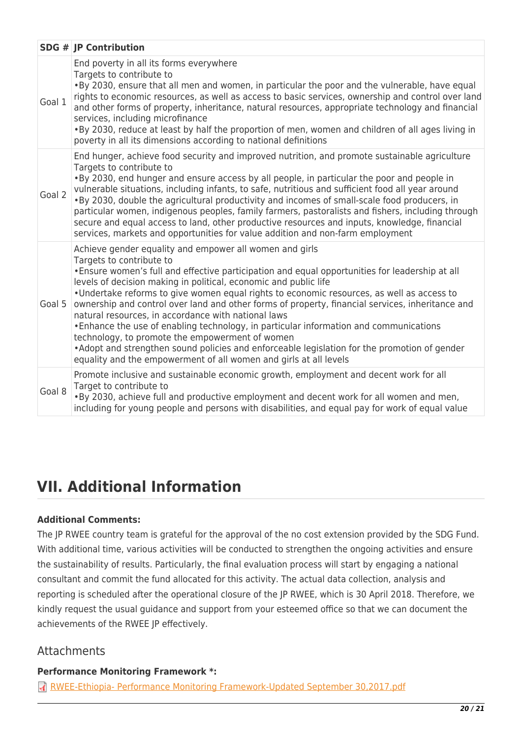|        | <b>SDG # JP Contribution</b>                                                                                                                                                                                                                                                                                                                                                                                                                                                                                                                                                                                                                                                                                                                                                                                                           |
|--------|----------------------------------------------------------------------------------------------------------------------------------------------------------------------------------------------------------------------------------------------------------------------------------------------------------------------------------------------------------------------------------------------------------------------------------------------------------------------------------------------------------------------------------------------------------------------------------------------------------------------------------------------------------------------------------------------------------------------------------------------------------------------------------------------------------------------------------------|
| Goal 1 | End poverty in all its forms everywhere<br>Targets to contribute to<br>. By 2030, ensure that all men and women, in particular the poor and the vulnerable, have equal<br>rights to economic resources, as well as access to basic services, ownership and control over land<br>and other forms of property, inheritance, natural resources, appropriate technology and financial<br>services, including microfinance<br>. By 2030, reduce at least by half the proportion of men, women and children of all ages living in<br>poverty in all its dimensions according to national definitions                                                                                                                                                                                                                                         |
| Goal 2 | End hunger, achieve food security and improved nutrition, and promote sustainable agriculture<br>Targets to contribute to<br>. By 2030, end hunger and ensure access by all people, in particular the poor and people in<br>vulnerable situations, including infants, to safe, nutritious and sufficient food all year around<br>. By 2030, double the agricultural productivity and incomes of small-scale food producers, in<br>particular women, indigenous peoples, family farmers, pastoralists and fishers, including through<br>secure and equal access to land, other productive resources and inputs, knowledge, financial<br>services, markets and opportunities for value addition and non-farm employment                                                                                                                  |
| Goal 5 | Achieve gender equality and empower all women and girls<br>Targets to contribute to<br>• Ensure women's full and effective participation and equal opportunities for leadership at all<br>levels of decision making in political, economic and public life<br>. Undertake reforms to give women equal rights to economic resources, as well as access to<br>ownership and control over land and other forms of property, financial services, inheritance and<br>natural resources, in accordance with national laws<br>• Enhance the use of enabling technology, in particular information and communications<br>technology, to promote the empowerment of women<br>• Adopt and strengthen sound policies and enforceable legislation for the promotion of gender<br>equality and the empowerment of all women and girls at all levels |
| Goal 8 | Promote inclusive and sustainable economic growth, employment and decent work for all<br>Target to contribute to<br>. By 2030, achieve full and productive employment and decent work for all women and men,<br>including for young people and persons with disabilities, and equal pay for work of equal value                                                                                                                                                                                                                                                                                                                                                                                                                                                                                                                        |

# **VII. Additional Information**

#### **Additional Comments:**

The JP RWEE country team is grateful for the approval of the no cost extension provided by the SDG Fund. With additional time, various activities will be conducted to strengthen the ongoing activities and ensure the sustainability of results. Particularly, the final evaluation process will start by engaging a national consultant and commit the fund allocated for this activity. The actual data collection, analysis and reporting is scheduled after the operational closure of the JP RWEE, which is 30 April 2018. Therefore, we kindly request the usual guidance and support from your esteemed office so that we can document the achievements of the RWEE JP effectively.

### Attachments

**Performance Monitoring Framework \*:** 

[RWEE-Ethiopia- Performance Monitoring Framework-Updated September 30,2017.pdf](http://proposals.sdgfund.org/sites/default/files/concept_note_form/RWEE-Ethiopia-%20Performance%20Monitoring%20Framework-Updated%20September%2030%2C2017.pdf)